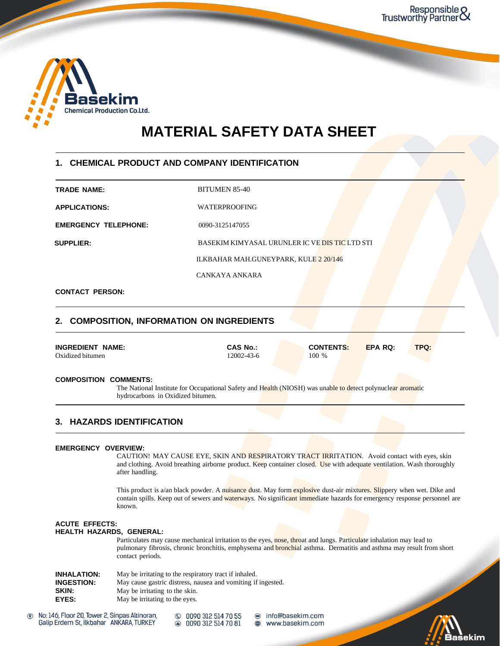

# **MATERIAL SAFETY DATA SHEET**

### **1. CHEMICAL PRODUCT AND COMPANY IDENTIFICATION**

**APPLICATIONS:** WATERPROOFING

**TRADE NAME:** BITUMEN 85-40

**EMERGENCY TELEPHONE:** 0090-3125147055

**SUPPLIER:** BASEKIM KIMYASAL URUNLER IC VE DISTIC LTD STI

ILKBAHAR MAH.GUNEYPARK, KULE 2 20/146

CANKAYA ANKARA

### **CONTACT PERSON:**

### **2. COMPOSITION, INFORMATION ON INGREDIENTS**

| <b>INGREDIENT NAME:</b> | <b>CAS No.:</b>  | <b>CONTENTS:</b> | <b>EPA RQ:</b> | <b>TPQ:</b> |
|-------------------------|------------------|------------------|----------------|-------------|
| Oxidized bitumen        | $12002 - 43 - 6$ | 100 %            |                |             |

### **COMPOSITION COMMENTS:**

The National Institute for Occupational Safety and Health (NIOSH) was unable to detect polynuclear aromatic hydrocarbons in Oxidized bitumen.

### **3. HAZARDS IDENTIFICATION**

### **EMERGENCY OVERVIEW:**

CAUTION! MAY CAUSE EYE, SKIN AND RESPIRATORY TRACT IRRITATION. Avoid contact with eyes, skin and clothing. Avoid breathing airborne product. Keep container closed. Use with adequate ventilation. Wash thoroughly after handling.

This product is a/an black powder. A nuisance dust. May form explosive dust-air mixtures. Slippery when wet. Dike and contain spills. Keep out of sewers and waterways. No significant immediate hazards for emergency response personnel are known.

### **ACUTE EFFECTS:**

### **HEALTH HAZARDS, GENERAL:**

Particulates may cause mechanical irritation to the eyes, nose, throat and lungs. Particulate inhalation may lead to pulmonary fibrosis, chronic bronchitis, emphysema and **bronchial** asthma. Dermatitis and asthma may result from short contact periods.

| <b>INHALATION:</b> | May be irritating to the respiratory tract if inhaled.       |
|--------------------|--------------------------------------------------------------|
| <b>INGESTION:</b>  | May cause gastric distress, nausea and vomiting if ingested. |
| <b>SKIN:</b>       | May be irritating to the skin.                               |
| EYES:              | May be irritating to the eyes.                               |

© 0090 312 514 70 55 **@ 0090 312 514 70 81** 

● info@basekim.com<br>● www.basekim.com

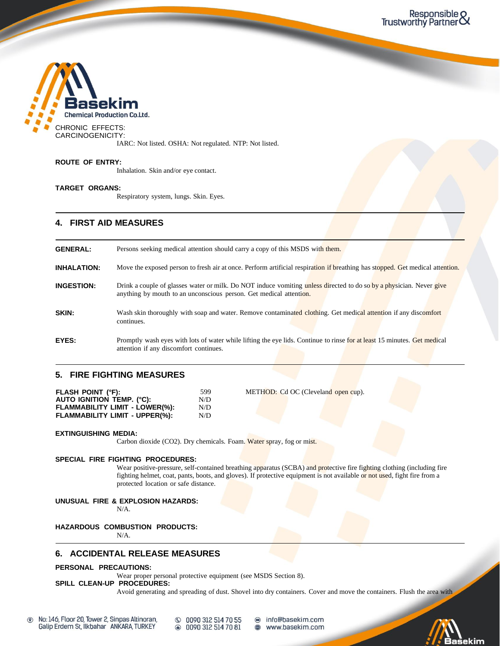

IARC: Not listed. OSHA: Not regulated. NTP: Not listed.

### **ROUTE OF ENTRY:**

Inhalation. Skin and/or eye contact.

### **TARGET ORGANS:**

Respiratory system, lungs. Skin. Eyes.

### **4. FIRST AID MEASURES**

| <b>GENERAL:</b>    | Persons seeking medical attention should carry a copy of this MSDS with them.                                                                                                             |
|--------------------|-------------------------------------------------------------------------------------------------------------------------------------------------------------------------------------------|
| <b>INHALATION:</b> | Move the exposed person to fresh air at once. Perform artificial respiration if breathing has stopped. Get medical attention.                                                             |
| <b>INGESTION:</b>  | Drink a couple of glasses water or milk. Do NOT induce vomiting unless directed to do so by a physician. Never give<br>anything by mouth to an unconscious person. Get medical attention. |
| <b>SKIN:</b>       | Wash skin thoroughly with soap and water. Remove contaminated clothing. Get medical attention if any discomfort<br>continues.                                                             |
| EYES:              | Promptly wash eyes with lots of water while lifting the eye lids. Continue to rinse for at least 15 minutes. Get medical<br>attention if any discomfort continues.                        |

### **5. FIRE FIGHTING MEASURES**

| 599 |
|-----|
| N/D |
| N/D |
| N/D |
|     |

**METHOD:** Cd OC (Cleveland open cup).

#### **EXTINGUISHING MEDIA:**

Carbon dioxide (CO2). Dry chemicals. Foam. Water spray, fog or mist.

#### **SPECIAL FIRE FIGHTING PROCEDURES:**

Wear positive-pressure, self-contained breathing apparatus (SCBA) and protective fire fighting clothing (including fire fighting helmet, coat, pants, boots, and gloves). If protective equipment is not available or not used, fight fire from a protected location or safe distance.

### **UNUSUAL FIRE & EXPLOSION HAZARDS:**

N/A.

### **HAZARDOUS COMBUSTION PRODUCTS:**

N/A.

### **6. ACCIDENTAL RELEASE MEASURES**

### **PERSONAL PRECAUTIONS:**

Wear proper personal protective equipment (see MSDS Section 8).

### **SPILL CLEAN-UP PROCEDURES:**

Avoid generating and spreading of dust. Shovel into dry containers. Cover and move the containers. Flush the area with

 $\circledcirc$ No: 146, Floor 20, Tower 2, Sinpas Altinoran, Galip Erdem St, Ilkbahar ANKARA, TURKEY

© 0090 312 514 70 55 <sup>312</sup> 514 70 81

info@basekim.com  $\bf \color{blue}\bullet$ www.basekim.com

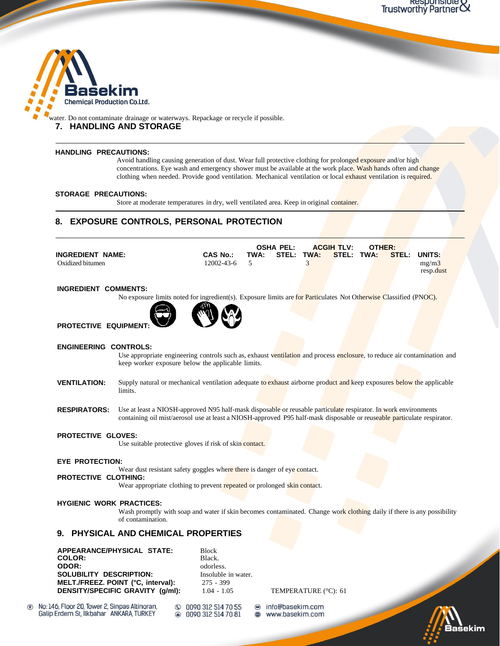

water. Do not contaminate drainage or waterways. Repackage or recycle if possible. **7. HANDLING AND STORAGE**

#### **HANDLING PRECAUTIONS:**

Avoid handling causing generation of dust. Wear full protective clothing for prolonged exposure and/or high concentrations. Eye wash and emergency shower must be available at the work place. Wash hands often and change clothing when needed. Provide good ventilation. Mechanical ventilation or local exhaust ventilation is required.

 $\sim$ 

### **STORAGE PRECAUTIONS:**

Store at moderate temperatures in dry, well ventilated area. Keep in original container.

### **8. EXPOSURE CONTROLS, PERSONAL PROTECTION**

|                         |                 | OSHA PEL: |                                         | <b>ACGIH TLV:</b> | OTHER: |                    |
|-------------------------|-----------------|-----------|-----------------------------------------|-------------------|--------|--------------------|
| <b>INGREDIENT NAME:</b> | <b>CAS No.:</b> |           | TWA: STEL: TWA: STEL: TWA: STEL: UNITS: |                   |        |                    |
| Oxidized bitumen        | 12002-43-6 5    |           |                                         |                   |        | mg/m3<br>resp.dust |

### **INGREDIENT COMMENTS:**

No exposure limits noted for ingredient(s). Exposure limits are for Particulates Not Otherwise Classified (PNOC).



**PROTECTIVE EQUIPMENT:**

### **ENGINEERING CONTROLS:**

Use appropriate engineering controls such as, exhaust ventilation and process enclosure, to reduce air contamination and keep worker exposure below the applicable limits.

- **VENTILATION:** Supply natural or mechanical ventilation adequate to exhaust airborne product and keep exposures below the applicable limits.
- **RESPIRATORS:** Use at least a NIOSH-approved N95 half-mask disposable or reusable particulate respirator. In work environments containing oil mist/aerosol use at least a NIOSH-approved P95 half-mask disposable or reuseable particulate respirator.

### **PROTECTIVE GLOVES:**

Use suitable protective gloves if risk of skin contact.

#### **EYE PROTECTION:**

Wear dust resistant safety goggles where there is danger of eye contact.

### **PROTECTIVE CLOTHING:**

Wear appropriate clothing to prevent repeated or prolonged skin contact.

### **HYGIENIC WORK PRACTICES:**

Wash promptly with soap and water if skin becomes contaminated. Change work clothing daily if there is any possibility of contamination.

### **9. PHYSICAL AND CHEMICAL PROPERTIES**

**APPEARANCE/PHYSICAL STATE:** Block COLOR: **ODOR:** odorless. **SOLUBILITY DESCRIPTION:** Insoluble in water. **MELT./FREEZ. POINT (°C, interval):** 275 - 399 **DENSITY/SPECIFIC GRAVITY (g/ml):** 1.04 - 1.05 TEMPERATURE (°C): 61

No: 146, Floor 20, Tower 2, Sinpas Altinoran,  $\circledcirc$ Galip Erdem St, Ilkbahar ANKARA, TURKEY

0090 312 514 70 55  $\circledcirc$ 0090 312 514 70 81

info@basekim.com www.basekim.com  $\check{a}$ 

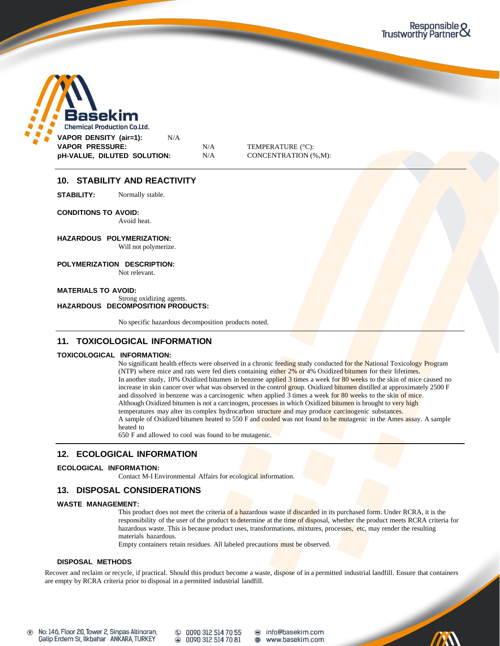

### **10. STABILITY AND REACTIVITY**

**STABILITY:** Normally stable.

**CONDITIONS TO AVOID:**

Avoid heat.

**HAZARDOUS POLYMERIZATION:** Will not polymerize.

**POLYMERIZATION DESCRIPTION:**

Not relevant.

**MATERIALS TO AVOID:** Strong oxidizing agents. **HAZARDOUS DECOMPOSITION PRODUCTS:**

No specific hazardous decomposition products noted.

### **11. TOXICOLOGICAL INFORMATION**

### **TOXICOLOGICAL INFORMATION:**

No significant health effects were observed in a chronic feeding study conducted for the National Toxicology Program (NTP) where mice and rats were fed diets containing either 2% or 4% Oxidized bitumen for their lifetimes. In another study, 10% Oxidized bitumen in benzene applied 3 times a week for 80 weeks to the skin of mice caused no increase in skin cancer over what was observed in the control group. Oxidized bitumen distilled at approximately 2500 F and dissolved in benzene was a carcinogenic when applied 3 times a week for 80 weeks to the skin of mice. Although Oxidized bitumen is not a carcinogen, processes in which Oxidized bitumen is brought to very high temperatures may alter its complex hydrocarbon structure and may produce carcinogenic substances. A sample of Oxidized bitumen heated to 550 F and cooled was not found to be mutagenic in the Ames assay. A sample heated to

650 F and allowed to cool was found to be mutagenic.

### **12. ECOLOGICAL INFORMATION**

### **ECOLOGICAL INFORMATION:**

Contact M-I Environmental Affairs for ecological information.

### **13. DISPOSAL CONSIDERATIONS**

### **WASTE MANAGEMENT:**

This product does not meet the criteria of a hazardous waste if discarded in its purchased form. Under RCRA, it is the responsibility of the user of the product to determine at the time of disposal, whether the product meets RCRA criteria for hazardous waste. This is because product uses, transformations, mixtures, processes, etc, may render the resulting materials hazardous.

Empty containers retain residues. All labeled precautions must be observed.

#### **DISPOSAL METHODS**

Recover and reclaim or recycle, if practical. Should this product become a waste, dispose of in a permitted industrial landfill. Ensure that containers are empty by RCRA criteria prior to disposal in a permitted industrial landfill.

No: 146, Floor 20, Tower 2, Sinpas Altinoran,  $\circledcirc$ Galip Erdem St, Ilkbahar ANKARA, TURKEY

© 0090 312 514 70 55 ● 0090 312 514 70 81 @ info@basekim.com  $\textcircled{\scriptsize{m}}$ www.basekim.com

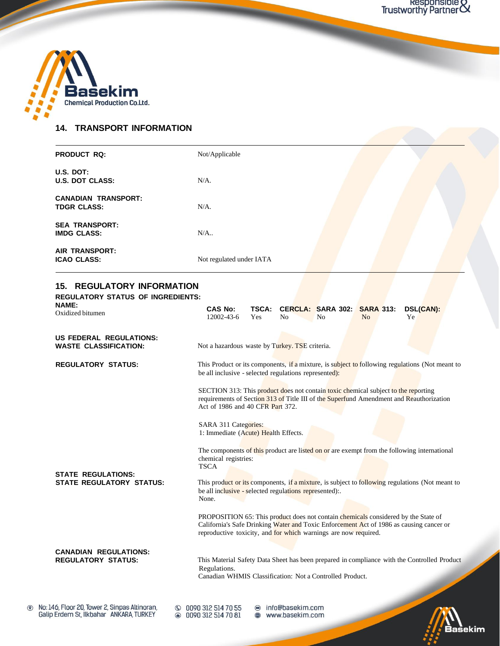

### **14. TRANSPORT INFORMATION**

| <b>PRODUCT RQ:</b>                               | Not/Applicable           |  |  |  |
|--------------------------------------------------|--------------------------|--|--|--|
| U.S. DOT:<br><b>U.S. DOT CLASS:</b>              | $N/A$ .                  |  |  |  |
| <b>CANADIAN TRANSPORT:</b><br><b>TDGR CLASS:</b> | $N/A$ .                  |  |  |  |
| <b>SEA TRANSPORT:</b><br><b>IMDG CLASS:</b>      | $N/A$                    |  |  |  |
| <b>AIR TRANSPORT:</b><br><b>ICAO CLASS:</b>      | Not regulated under IATA |  |  |  |

## **15. REGULATORY INFORMATION**

**REGULATORY STATUS OF INGREDIENTS:**

| <b>NAME:</b><br>Oxidized bitumen                             | <b>CAS No:</b><br>$12002 - 43 - 6$                                                                                                                                  | <b>TSCA:</b><br><b>Yes</b> | N <sub>0</sub> | <b>CERCLA: SARA 302:</b><br>N <sub>0</sub> | <b>SARA 313:</b><br>N <sub>o</sub> | DSL(CAN):<br>Ye                                                                                                                                                                            |
|--------------------------------------------------------------|---------------------------------------------------------------------------------------------------------------------------------------------------------------------|----------------------------|----------------|--------------------------------------------|------------------------------------|--------------------------------------------------------------------------------------------------------------------------------------------------------------------------------------------|
| US FEDERAL REGULATIONS:<br><b>WASTE CLASSIFICATION:</b>      | Not a hazardous waste by Turkey. TSE criteria.                                                                                                                      |                            |                |                                            |                                    |                                                                                                                                                                                            |
| <b>REGULATORY STATUS:</b>                                    | be all inclusive - selected regulations represented):<br>SECTION 313: This product does not contain toxic chemical subject to the reporting                         |                            |                |                                            |                                    | This Product or its components, if a mixture, is subject to following regulations (Not meant to<br>requirements of Section 313 of Title III of the Superfund Amendment and Reauthorization |
|                                                              | Act of 1986 and 40 CFR Part 372.<br>SARA 311 Categories:<br>1: Immediate (Acute) Health Effects.<br>chemical registries:                                            |                            |                |                                            |                                    | The components of this product are listed on or are exempt from the following international                                                                                                |
| <b>STATE REGULATIONS:</b><br><b>STATE REGULATORY STATUS:</b> | <b>TSCA</b><br>be all inclusive - selected regulations represented):<br>None.<br>PROPOSITION 65: This product does not contain chemicals considered by the State of |                            |                |                                            |                                    | This product or its components, if a mixture, is subject to following regulations (Not meant to<br>California's Safe Drinking Water and Toxic Enforcement Act of 1986 as causing cancer or |
| <b>CANADIAN REGULATIONS:</b><br><b>REGULATORY STATUS:</b>    | reproductive toxicity, and for which warnings are now required.<br>Regulations.<br>Canadian WHMIS Classification: Not a Controlled Product.                         |                            |                |                                            |                                    | This Material Safety Data Sheet has been prepared in compliance with the Controlled Product                                                                                                |



 $@00903125147055  
\n@00903125147081$ 

● info@basekim.com www.basekim.com